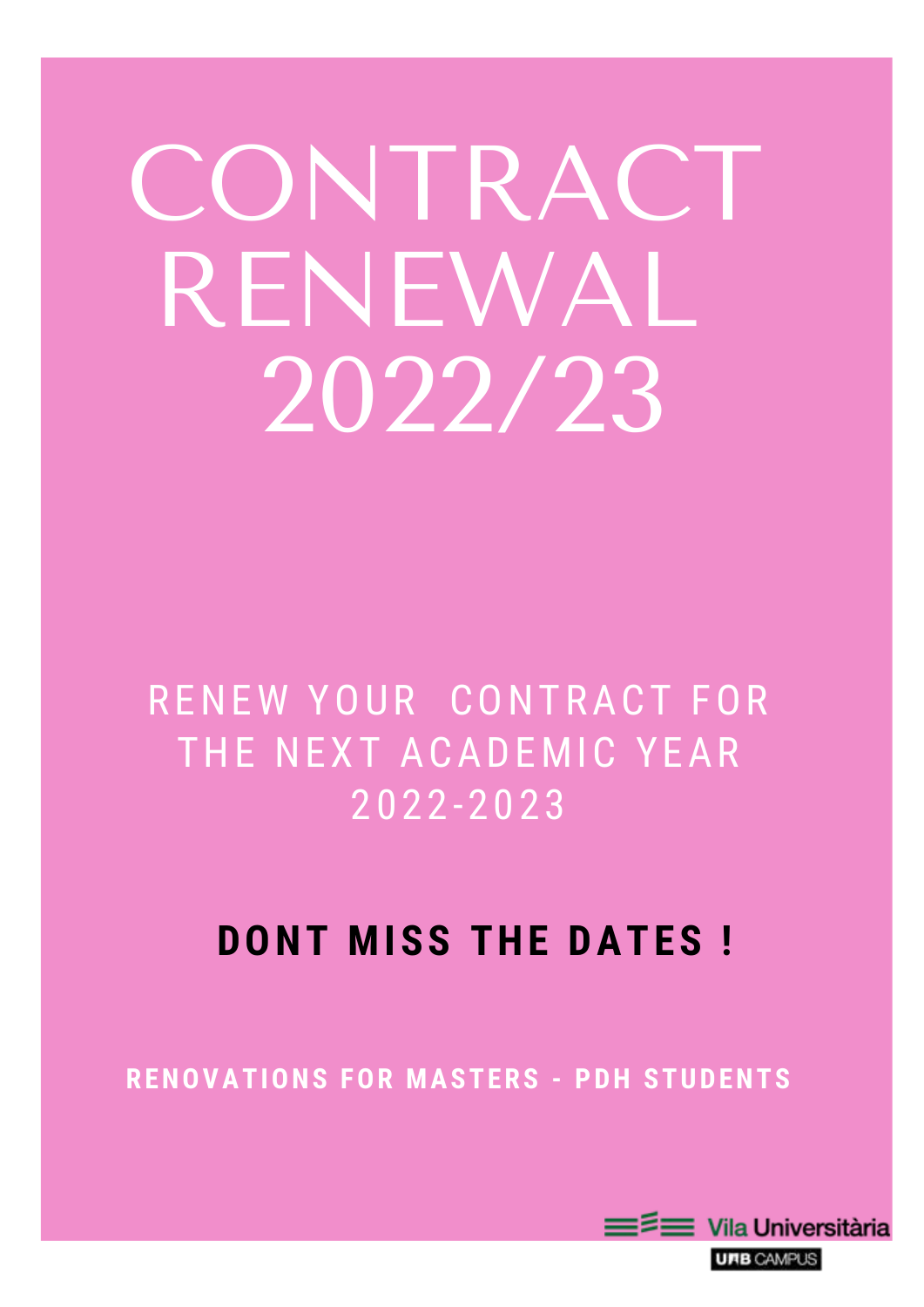# CONTRACT RENEWAL 2022/23

RENEW YOUR CONTRACT FOR THE NEXT ACADEMIC YEAR 2022-2023

# **DONT MISS THE DATES !**

### **RENOVATIONS FOR MASTERS - PDH STUDENTS**



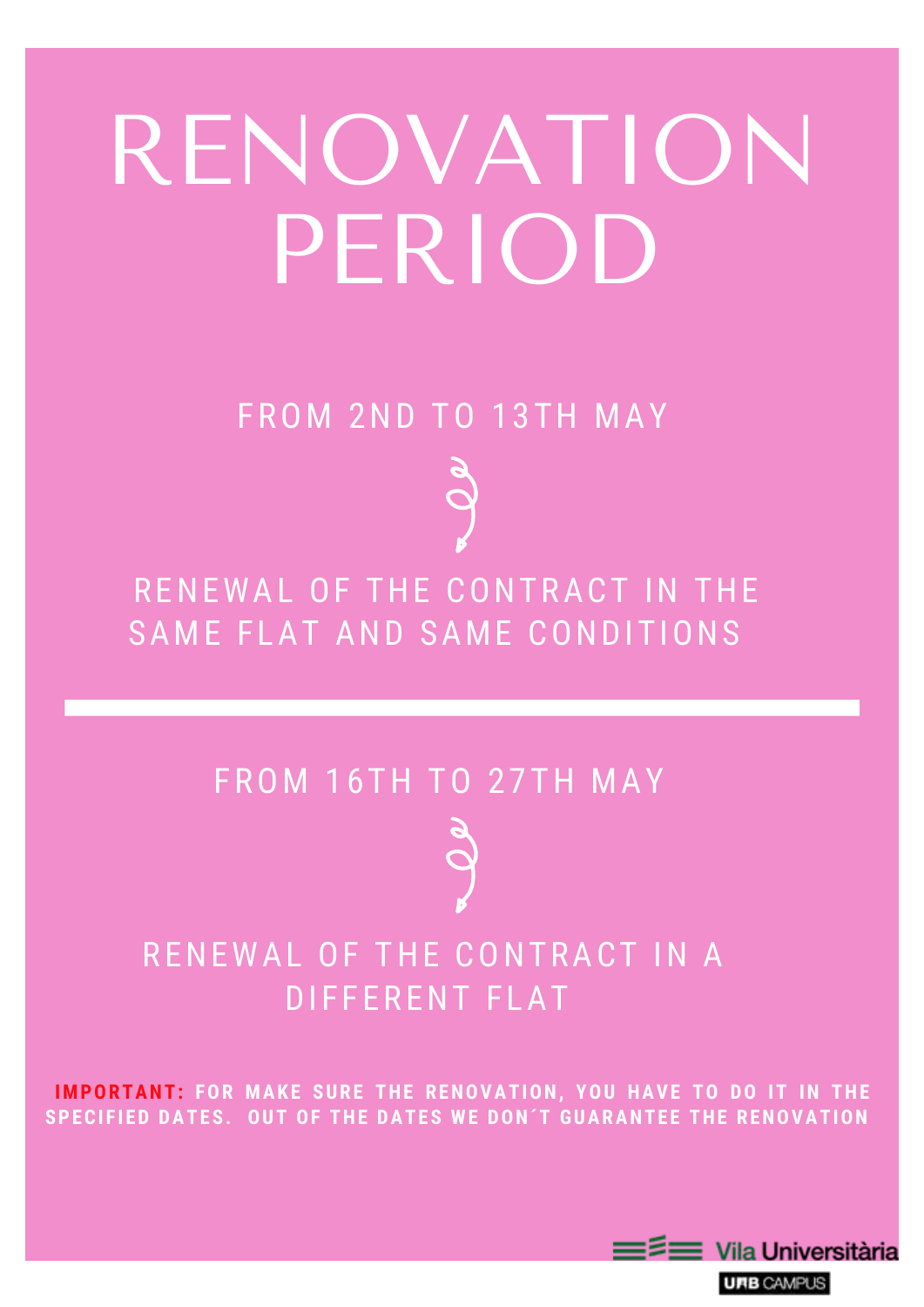# RENOVATION PERIOD

RENEWAL OF THE CONTRACT IN THE SAME FLAT AND SAME CONDITIONS

### FROM 2ND TO 13TH MAY

### RENEWAL OF THE CONTRACT IN A DIFFERENT FLAT



### **IMPORTANT: FOR MAKE SURE THE RENOVATION, YOU HAVE TO DO IT IN THE SPECI F IED DATES. OUT OF THE DATES WE DON´T GUARANTEE THE RENOVATION**



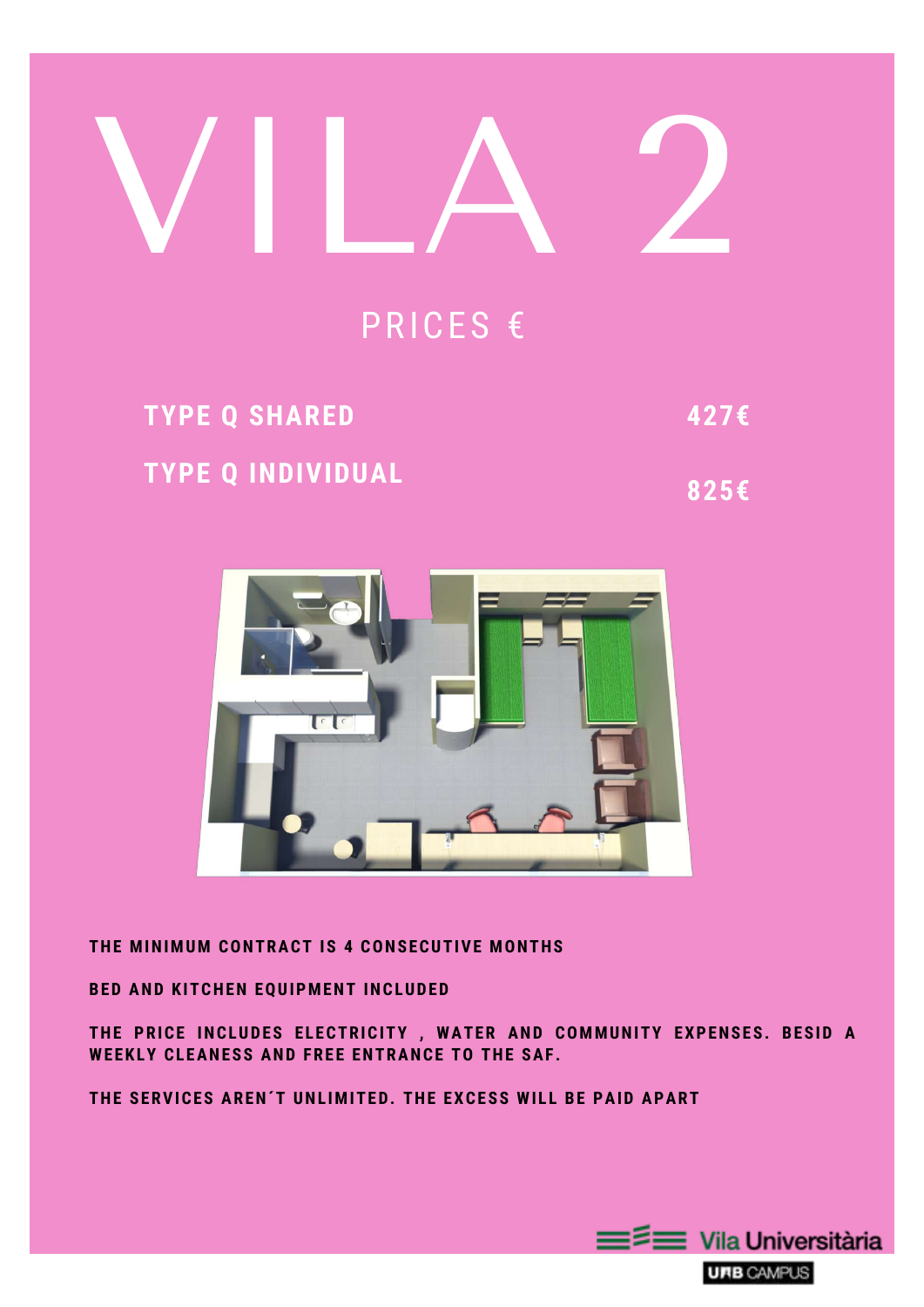

### **THE MINIMUM CONTRACT IS 4 CONSECUTIVE MONTHS**

#### **BED AND KITCHEN EQUIPMENT INCLUDED**

**THE PRICE INCLUDES ELECTRICITY , WATER AND COMMUNITY EXPENSES. BESID A WEEKLY CLEANESS AND FREE ENTRANCE TO THE SAF .**

**THE SERVICES AREN´T UNL IMITED. THE EXCESS WI L L BE PAID APART**





### PRICES €

# **TYPE Q INDIVIDUAL TYPE Q SHARED 427€**

**825€**

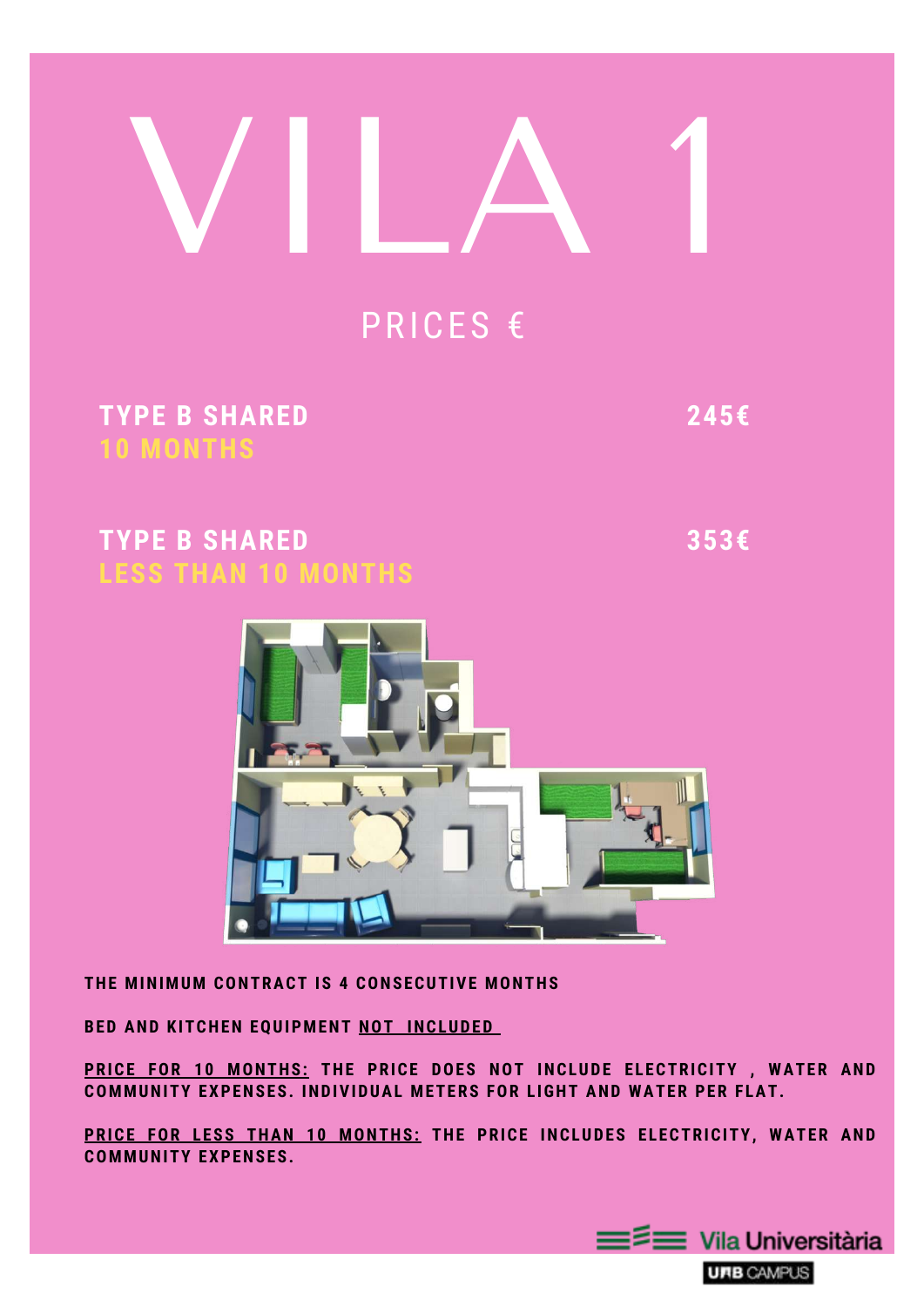# VILA 1

#### **THE MINIMUM CONTRACT IS 4 CONSECUTIVE MONTHS**

### **BED AND KITCHEN EQUIPMENT NOT INCLUDED**

**PRICE FOR 10 MONTHS: THE PRICE DOES NOT INCLUDE ELECTRICITY , WATER AND COMMUNITY EXPENSES. INDIVIDUAL METERS FOR L IGHT AND WATER PER F LAT.**

**PRICE FOR LESS THAN 10 MONTHS: THE PRICE INCLUDES ELECTRICITY, WATER AND COMMUNITY EXPENSES.**





### PRICES €

**TYPE B SHARED 353€ LESS THAN 10 MONTHS**

### **TYPE B SHARED 245€ 10 MONTHS**

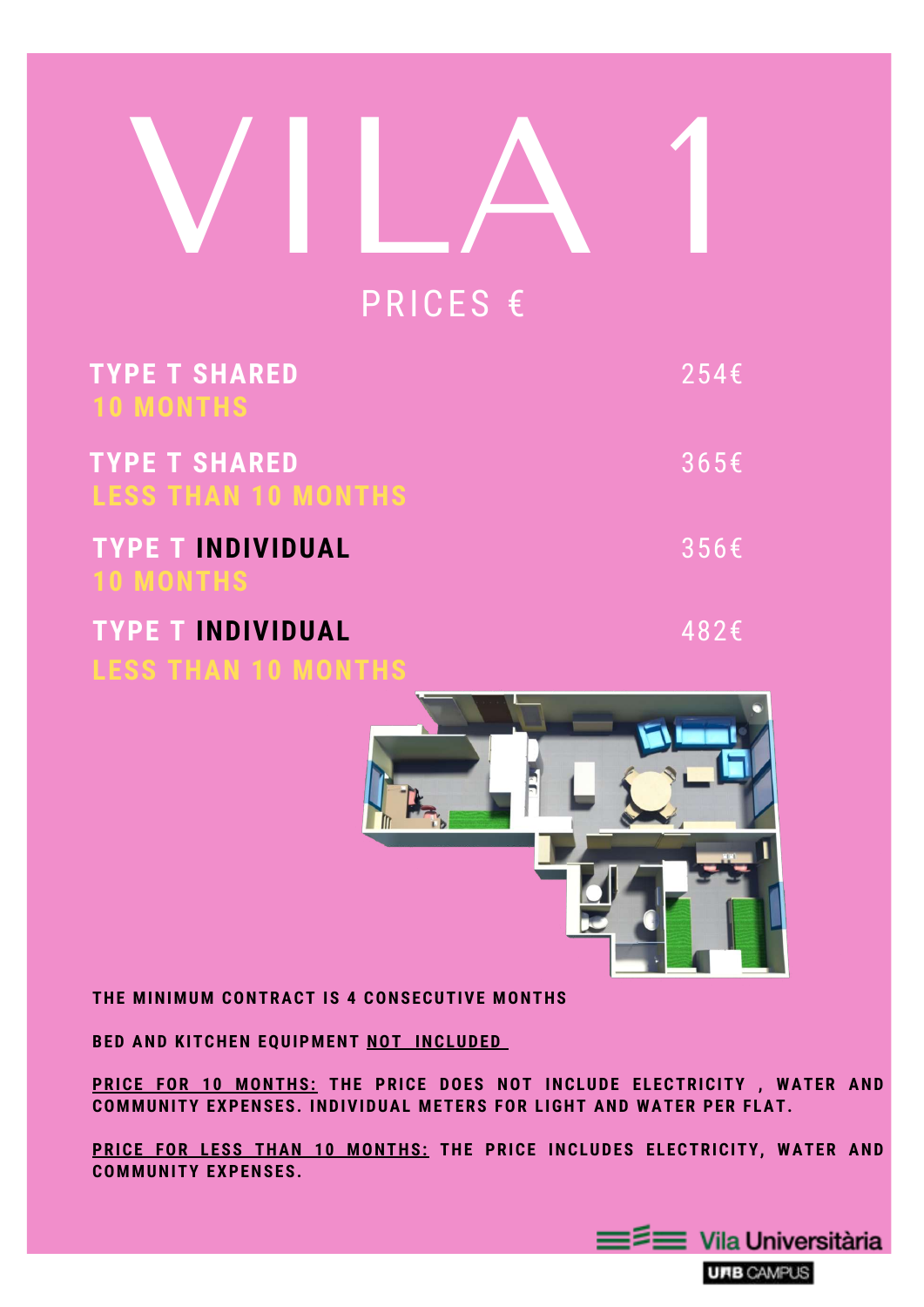#### **THE MINIMUM CONTRACT IS 4 CONSECUTIVE MONTHS**

#### **BED AND KITCHEN EQUIPMENT NOT INCLUDED**

**PRICE FOR 10 MONTHS: THE PRICE DOES NOT INCLUDE ELECTRICITY , WATER AND COMMUNITY EXPENSES. INDIVIDUAL METERS FOR L IGHT AND WATER PER F LAT.**

# VILA 1 PRICES €

**PRICE FOR LESS THAN 10 MONTHS: THE PRICE INCLUDES ELECTRICITY, WATER AND COMMUNITY EXPENSES.**





| <b>TYPE T SHARED</b><br><b>10 MONTHS</b>               | 254E |
|--------------------------------------------------------|------|
| <b>TYPE T SHARED</b><br><b>LESS THAN 10 MONTHS</b>     | 365E |
| <b>TYPE T INDIVIDUAL</b><br><b>10 MONTHS</b>           | 356E |
| <b>TYPE T INDIVIDUAL</b><br><b>LESS THAN 10 MONTHS</b> | 482€ |

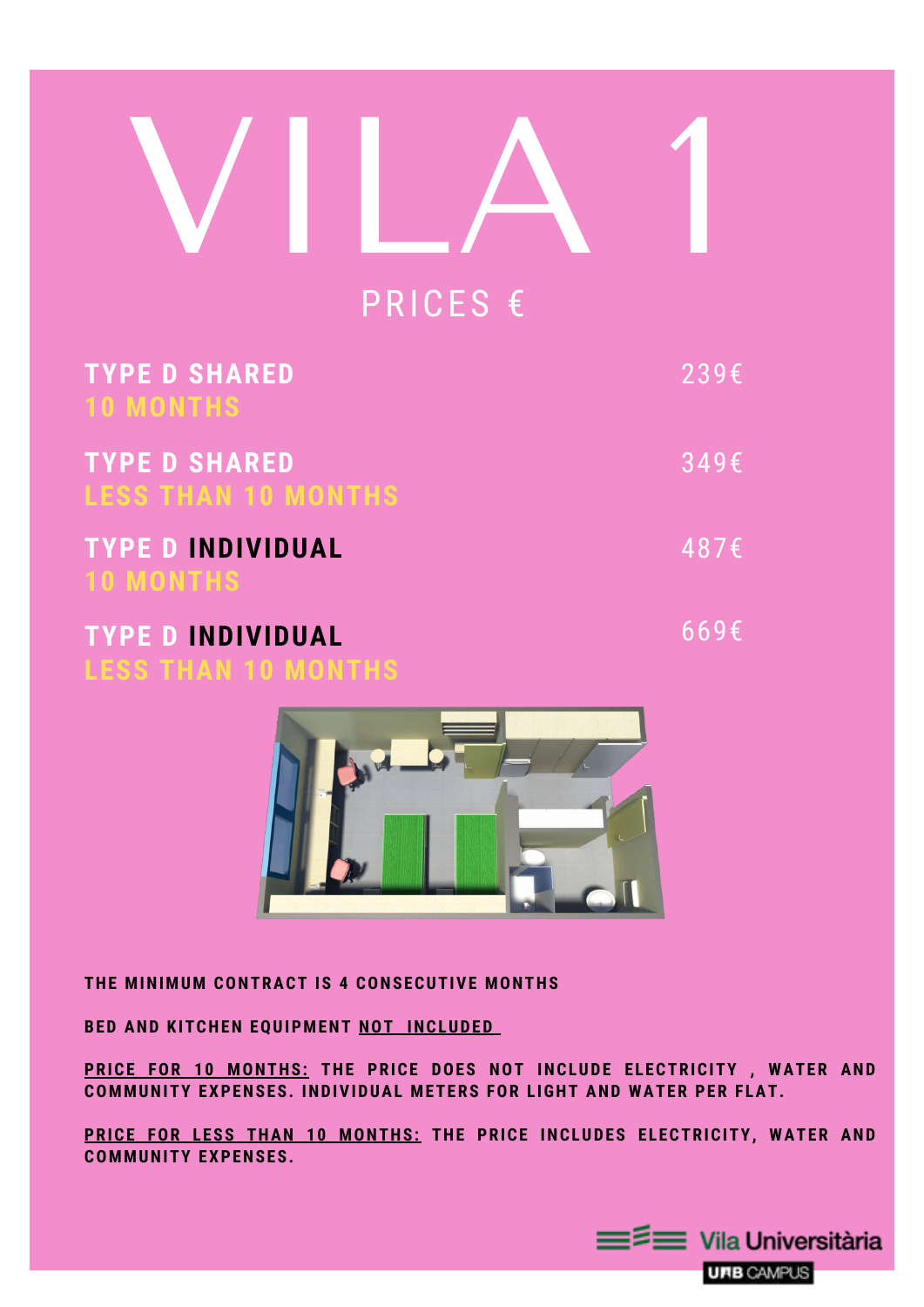#### **THE MINIMUM CONTRACT IS 4 CONSECUTIVE MONTHS**

#### **BED AND KITCHEN EQUIPMENT NOT INCLUDED**

**PRICE FOR 10 MONTHS: THE PRICE DOES NOT INCLUDE ELECTRICITY , WATER AND COMMUNITY EXPENSES. INDIVIDUAL METERS FOR L IGHT AND WATER PER F LAT.**

# VILA 1 PRICES €

**PRICE FOR LESS THAN 10 MONTHS: THE PRICE INCLUDES ELECTRICITY, WATER AND COMMUNITY EXPENSES.**



| <b>TYPE D SHARED</b><br><b>10 MONTHS</b>               | $239\epsilon$    |
|--------------------------------------------------------|------------------|
| <b>TYPE D SHARED</b><br><b>LESS THAN 10 MONTHS</b>     | $349\epsilon$    |
| <b>TYPE D INDIVIDUAL</b><br><b>10 MONTHS</b>           | 487 <sup>2</sup> |
| <b>TYPE D INDIVIDUAL</b><br><b>LESS THAN 10 MONTHS</b> | 669E             |

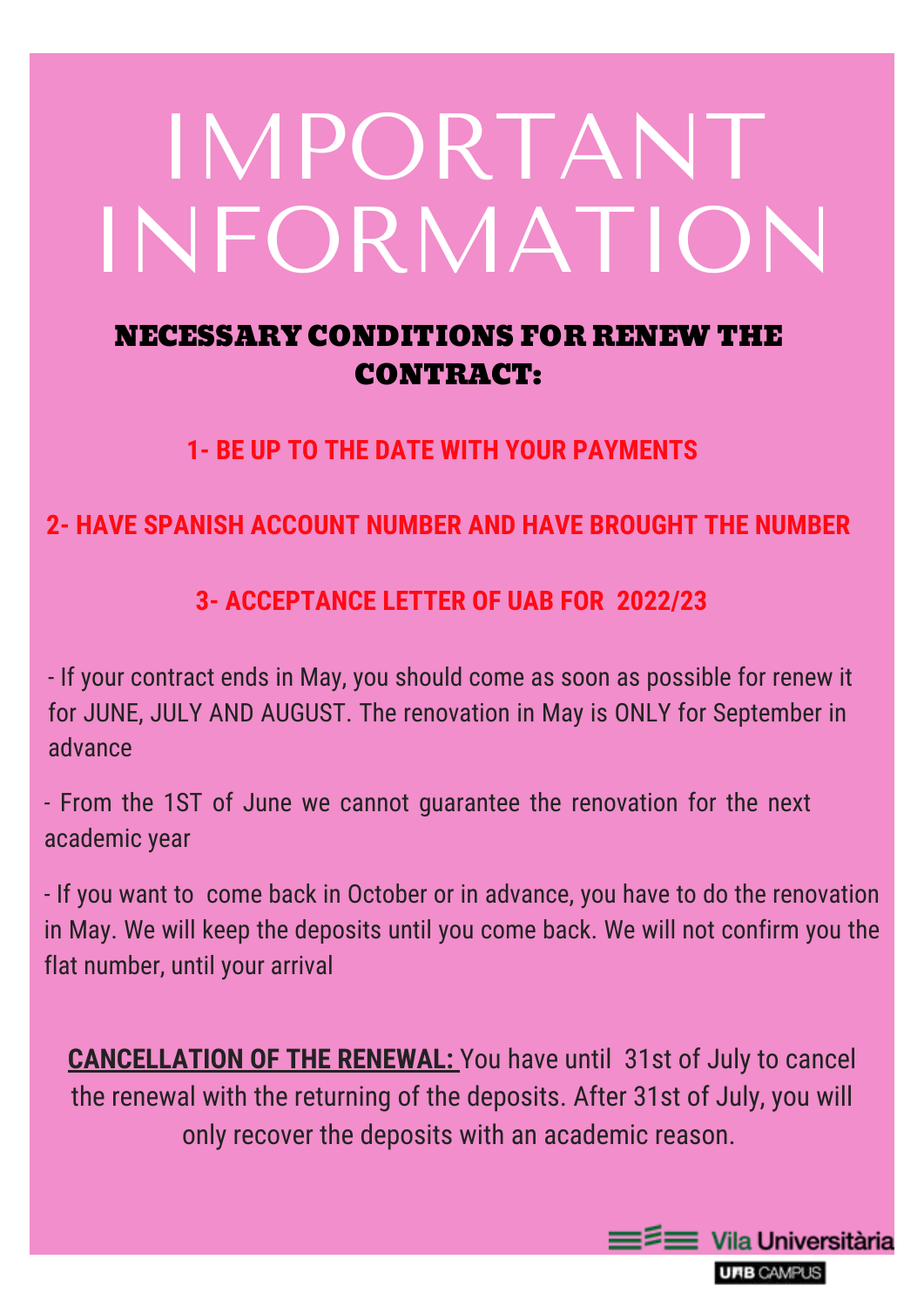# IMPORTANT INFORMATION

### NECESSARY CONDITIONS FOR RENEWTHE CONTRACT:

**1- BE UP TO THE DATE WITH YOUR PAYMENTS**

**2- HAVE SPANISH ACCOUNT NUMBER AND HAVE BROUGHT THE NUMBER**

**3- ACCEPTANCE LETTER OF UAB FOR 2022/23**

- If your contract ends in May, you should come as soon as possible for renew it

for JUNE, JULY AND AUGUST. The renovation in May is ONLY for September in advance

- From the 1ST of June we cannot guarantee the renovation for the next academic year

- If you want to come back in October or in advance, you have to do the renovation in May. We will keep the deposits until you come back. We will not confirm you the flat number, until your arrival

**CANCELLATION OF THE RENEWAL:** You have until 31st of July to cancel the renewal with the returning of the deposits. After 31st of July, you will only recover the deposits with an academic reason.



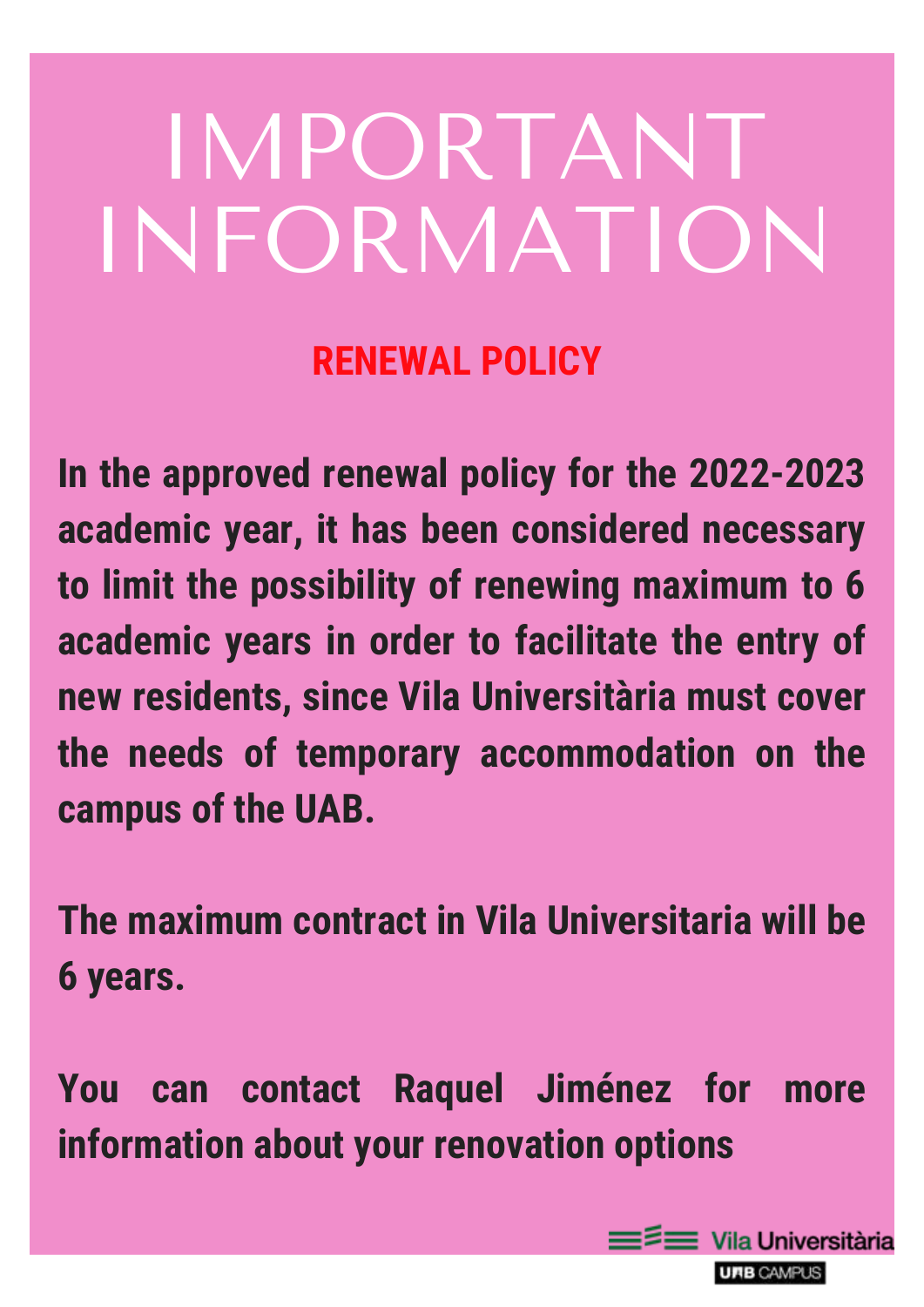# IMPORTANT INFORMATION

## **RENEWAL POLICY**

**In the approved renewal policy for the 2022-2023 academic year, it has been considered necessary to limit the possibility of renewing maximum to 6 academic years in order to facilitate the entry of new residents, since Vila Universitària must cover the needs of temporary accommodation on the campus of the UAB.**

# **The maximum contract in Vila Universitaria will be 6 years.**

# **You can contact Raquel Jiménez for more information about your renovation options**